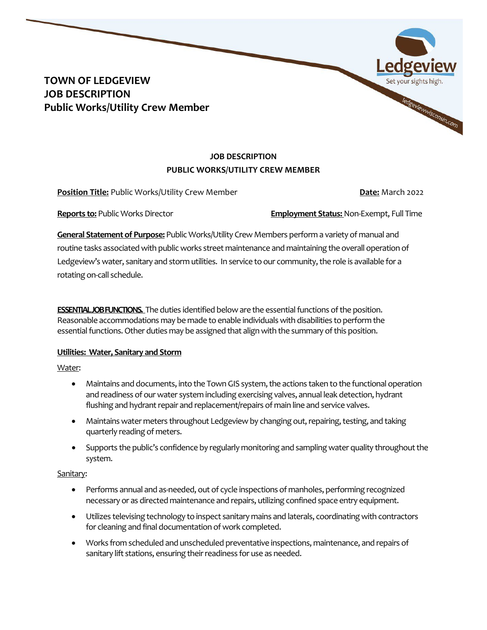# **TOWN OF LEDGEVIEW JOB DESCRIPTION Public Works/Utility Crew Member**

# **JOB DESCRIPTION PUBLIC WORKS/UTILITY CREW MEMBER**

**Position Title:** Public Works/Utility Crew Member **Date: All Date: March 2022** 

ledgeviewwisconsin.com

**Reports to:** Public Works Director **Employment Status:** Non-Exempt, Full Time

**General Statement of Purpose:** Public Works/Utility Crew Members perform a variety of manual and routine tasks associated with public works street maintenance and maintaining the overall operation of Ledgeview's water, sanitary and storm utilities. In service to our community, the role is available for a rotating on-call schedule.

**ESSENTIAL JOB FUNCTIONS.** The duties identified below are the essential functions of the position. Reasonable accommodations may be made to enable individuals with disabilities to perform the essential functions. Other duties may be assigned that align with the summary of this position.

# **Utilities: Water, Sanitary and Storm**

Water:

- Maintains and documents, into the Town GIS system, the actions taken to the functional operation and readiness of our water system including exercising valves, annual leak detection, hydrant flushing and hydrant repair and replacement/repairs of main line and service valves.
- Maintains water meters throughout Ledgeview by changing out, repairing, testing, and taking quarterly reading of meters.
- Supports the public's confidence by regularly monitoring and sampling water quality throughout the system.

# Sanitary:

- Performs annual and as-needed, out of cycle inspections of manholes, performing recognized necessary or as directed maintenance and repairs, utilizing confined space entry equipment.
- Utilizes televising technology to inspect sanitary mains and laterals, coordinating with contractors for cleaning and final documentation of work completed.
- Works from scheduled and unscheduled preventative inspections, maintenance, and repairs of sanitary lift stations, ensuring their readiness for use as needed.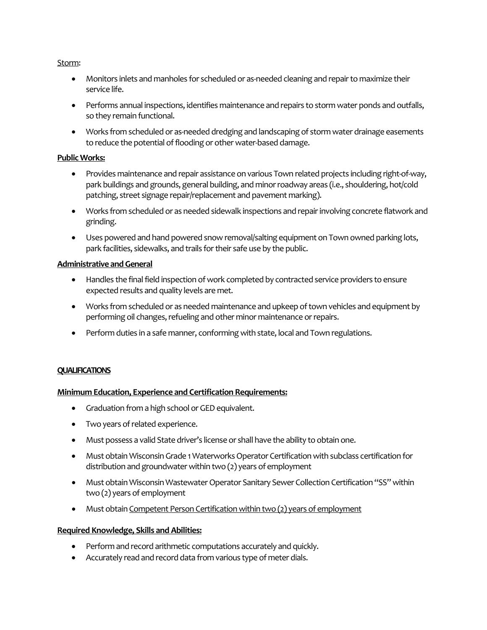#### Storm:

- Monitors inlets and manholes for scheduled or as-needed cleaning and repair to maximize their service life.
- Performs annual inspections, identifies maintenance and repairs to storm water ponds and outfalls, so they remain functional.
- Works from scheduled or as-needed dredging and landscaping of storm water drainage easements to reduce the potential of flooding or other water-based damage.

#### **Public Works:**

- Provides maintenance and repair assistance on various Town related projects including right-of-way, park buildings and grounds, general building, and minor roadway areas (i.e., shouldering, hot/cold patching, street signage repair/replacement and pavement marking).
- Works from scheduled or as needed sidewalk inspections and repair involving concrete flatwork and grinding.
- Uses powered and hand powered snow removal/salting equipment on Town owned parking lots, park facilities, sidewalks, and trails for their safe use by the public.

## **Administrative and General**

- Handles the final field inspection of work completed by contracted service providers to ensure expected results and quality levels are met.
- Works from scheduled or as needed maintenance and upkeep of town vehicles and equipment by performing oil changes, refueling and other minor maintenance or repairs.
- Perform duties in a safe manner, conforming with state, local and Town regulations.

## **QUALIFICATIONS**

## **Minimum Education, Experience and Certification Requirements:**

- Graduation from a high school or GED equivalent.
- Two years of related experience.
- Must possess a valid State driver's license or shall have the ability to obtain one.
- Must obtain Wisconsin Grade 1 Waterworks Operator Certification with subclass certification for distribution and groundwater within two (2) years of employment
- Must obtain Wisconsin Wastewater Operator Sanitary Sewer Collection Certification "SS" within two (2) years of employment
- Must obtain Competent Person Certification within two (2) years of employment

## **Required Knowledge, Skills and Abilities:**

- Perform and record arithmetic computations accurately and quickly.
- Accurately read and record data from various type of meter dials.